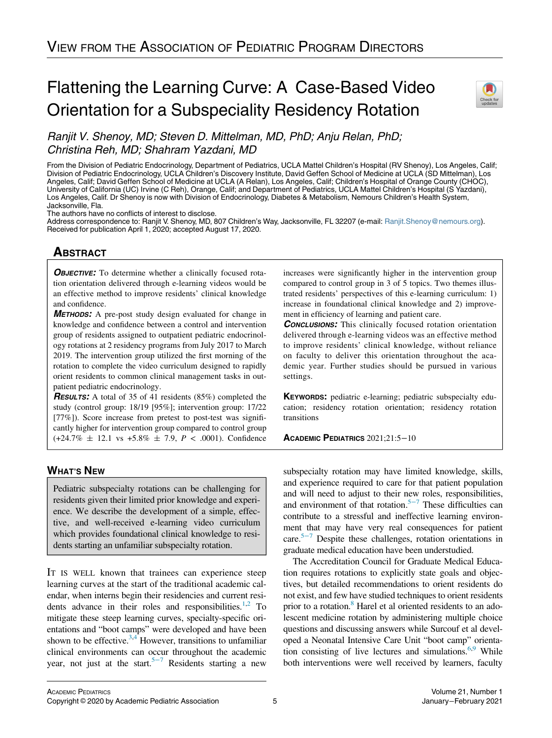# Flattening the Learning Curve: A Case-Based Video Orientation for a Subspeciality Residency Rotation



Ranjit V. Shenoy, MD; Steven D. Mittelman, MD, PhD; Anju Relan, PhD; Christina Reh, MD; Shahram Yazdani, MD

From the Division of Pediatric Endocrinology, Department of Pediatrics, UCLA Mattel Children's Hospital (RV Shenoy), Los Angeles, Calif; Division of Pediatric Endocrinology, UCLA Children's Discovery Institute, David Geffen School of Medicine at UCLA (SD Mittelman), Los Angeles, Calif; David Geffen School of Medicine at UCLA (A Relan), Los Angeles, Calif; Children's Hospital of Orange County (CHOC), University of California (UC) Irvine (C Reh), Orange, Calif; and Department of Pediatrics, UCLA Mattel Children's Hospital (S Yazdani), Los Angeles, Calif. Dr Shenoy is now with Division of Endocrinology, Diabetes & Metabolism, Nemours Children's Health System, Jacksonville, Fla.

The authors have no conflicts of interest to disclose.

Address correspondence to: Ranjit V. Shenoy, MD, 807 Children's Way, Jacksonville, FL 32207 (e-mail: [Ranjit.Shenoy@nemours.org](mailto:Ranjit.Shenoy@nemours.org)). Received for publication April 1, 2020; accepted August 17, 2020.

# **ABSTRACT**

**OBJECTIVE:** To determine whether a clinically focused rotation orientation delivered through e-learning videos would be an effective method to improve residents' clinical knowledge and confidence.

**METHODS:** A pre-post study design evaluated for change in knowledge and confidence between a control and intervention group of residents assigned to outpatient pediatric endocrinology rotations at 2 residency programs from July 2017 to March 2019. The intervention group utilized the first morning of the rotation to complete the video curriculum designed to rapidly orient residents to common clinical management tasks in outpatient pediatric endocrinology.

**RESULTS:** A total of 35 of 41 residents (85%) completed the study (control group: 18/19 [95%]; intervention group: 17/22 [77%]). Score increase from pretest to post-test was significantly higher for intervention group compared to control group  $(+24.7\% \pm 12.1 \text{ vs } +5.8\% \pm 7.9, P < .0001)$ . Confidence

# WHAT'S NEW

Pediatric subspecialty rotations can be challenging for residents given their limited prior knowledge and experience. We describe the development of a simple, effective, and well-received e-learning video curriculum which provides foundational clinical knowledge to residents starting an unfamiliar subspecialty rotation.

IT IS WELL known that trainees can experience steep learning curves at the start of the traditional academic calendar, when interns begin their residencies and current residents advance in their roles and responsibilities. $1,2$  $1,2$  $1,2$  To mitigate these steep learning curves, specialty-specific orientations and "boot camps" were developed and have been shown to be effective.<sup>3,[4](#page-5-3)</sup> However, transitions to unfamiliar clinical environments can occur throughout the academic year, not just at the start.<sup>5[−](#page-5-4)7</sup> Residents starting a new

increases were significantly higher in the intervention group compared to control group in 3 of 5 topics. Two themes illustrated residents' perspectives of this e-learning curriculum: 1) increase in foundational clinical knowledge and 2) improvement in efficiency of learning and patient care.

**CONCLUSIONS:** This clinically focused rotation orientation delivered through e-learning videos was an effective method to improve residents' clinical knowledge, without reliance on faculty to deliver this orientation throughout the academic year. Further studies should be pursued in various settings.

KEYWORDS: pediatric e-learning; pediatric subspecialty education; residency rotation orientation; residency rotation transitions

ACADEMIC PEDIATRICS 2021;21:5−10

subspecialty rotation may have limited knowledge, skills, and experience required to care for that patient population and will need to adjust to their new roles, responsibilities, and environment of that rotation.<sup>5[−](#page-5-4)7</sup> These difficulties can contribute to a stressful and ineffective learning environment that may have very real consequences for patient care.5[−](#page-5-4)<sup>7</sup> Despite these challenges, rotation orientations in graduate medical education have been understudied.

The Accreditation Council for Graduate Medical Education requires rotations to explicitly state goals and objectives, but detailed recommendations to orient residents do not exist, and few have studied techniques to orient residents prior to a rotation.<sup>[8](#page-5-5)</sup> Harel et al oriented residents to an adolescent medicine rotation by administering multiple choice questions and discussing answers while Surcouf et al developed a Neonatal Intensive Care Unit "boot camp" orientation consisting of live lectures and simulations. $6,9$  $6,9$  $6,9$  While both interventions were well received by learners, faculty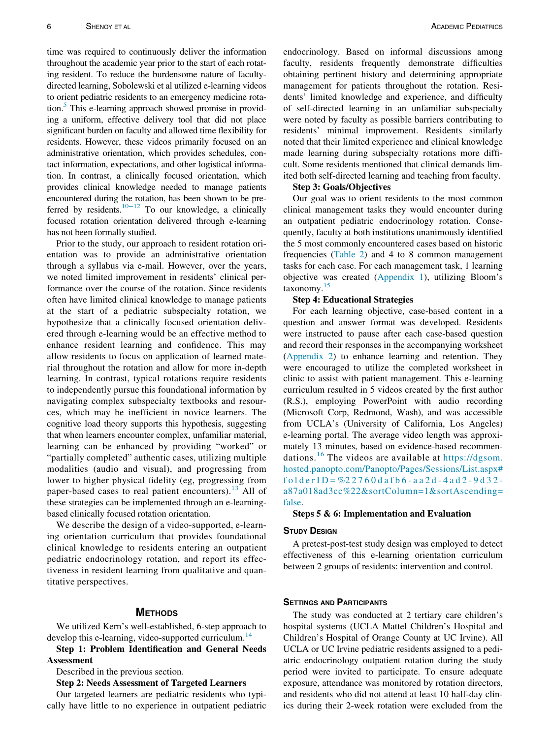time was required to continuously deliver the information throughout the academic year prior to the start of each rotating resident. To reduce the burdensome nature of facultydirected learning, Sobolewski et al utilized e-learning videos to orient pediatric residents to an emergency medicine rotation.<sup>5</sup> This e-learning approach showed promise in providing a uniform, effective delivery tool that did not place significant burden on faculty and allowed time flexibility for residents. However, these videos primarily focused on an administrative orientation, which provides schedules, contact information, expectations, and other logistical information. In contrast, a clinically focused orientation, which provides clinical knowledge needed to manage patients encountered during the rotation, has been shown to be preferred by residents[.10](#page-5-8)−<sup>12</sup> To our knowledge, a clinically focused rotation orientation delivered through e-learning has not been formally studied.

Prior to the study, our approach to resident rotation orientation was to provide an administrative orientation through a syllabus via e-mail. However, over the years, we noted limited improvement in residents' clinical performance over the course of the rotation. Since residents often have limited clinical knowledge to manage patients at the start of a pediatric subspecialty rotation, we hypothesize that a clinically focused orientation delivered through e-learning would be an effective method to enhance resident learning and confidence. This may allow residents to focus on application of learned material throughout the rotation and allow for more in-depth learning. In contrast, typical rotations require residents to independently pursue this foundational information by navigating complex subspecialty textbooks and resources, which may be inefficient in novice learners. The cognitive load theory supports this hypothesis, suggesting that when learners encounter complex, unfamiliar material, learning can be enhanced by providing "worked" or "partially completed" authentic cases, utilizing multiple modalities (audio and visual), and progressing from lower to higher physical fidelity (eg, progressing from paper-based cases to real patient encounters).<sup>[13](#page-5-9)</sup> All of these strategies can be implemented through an e-learningbased clinically focused rotation orientation.

We describe the design of a video-supported, e-learning orientation curriculum that provides foundational clinical knowledge to residents entering an outpatient pediatric endocrinology rotation, and report its effectiveness in resident learning from qualitative and quantitative perspectives.

#### **METHODS**

We utilized Kern's well-established, 6-step approach to develop this e-learning, video-supported curriculum.<sup>[14](#page-5-10)</sup>

Step 1: Problem Identification and General Needs Assessment

Described in the previous section.

Step 2: Needs Assessment of Targeted Learners

Our targeted learners are pediatric residents who typically have little to no experience in outpatient pediatric endocrinology. Based on informal discussions among faculty, residents frequently demonstrate difficulties obtaining pertinent history and determining appropriate management for patients throughout the rotation. Residents' limited knowledge and experience, and difficulty of self-directed learning in an unfamiliar subspecialty were noted by faculty as possible barriers contributing to residents' minimal improvement. Residents similarly noted that their limited experience and clinical knowledge made learning during subspecialty rotations more difficult. Some residents mentioned that clinical demands limited both self-directed learning and teaching from faculty.

#### Step 3: Goals/Objectives

Our goal was to orient residents to the most common clinical management tasks they would encounter during an outpatient pediatric endocrinology rotation. Consequently, faculty at both institutions unanimously identified the 5 most commonly encountered cases based on historic frequencies ([Table 2](#page-3-0)) and 4 to 8 common management tasks for each case. For each management task, 1 learning objective was created ([Appendix 1](#page-5-11)), utilizing Bloom's taxonomy.<sup>[15](#page-5-12)</sup>

#### Step 4: Educational Strategies

For each learning objective, case-based content in a question and answer format was developed. Residents were instructed to pause after each case-based question and record their responses in the accompanying worksheet ([Appendix 2](#page-5-11)) to enhance learning and retention. They were encouraged to utilize the completed worksheet in clinic to assist with patient management. This e-learning curriculum resulted in 5 videos created by the first author (R.S.), employing PowerPoint with audio recording (Microsoft Corp, Redmond, Wash), and was accessible from UCLA's (University of California, Los Angeles) e-learning portal. The average video length was approximately 13 minutes, based on evidence-based recommen-dations.<sup>[16](#page-5-13)</sup> The videos are available at [https://dgsom.](https://dgsom.hosted.panopto.com/Panopto/Pages/Sessions/List.aspx#folderID=%22760dafb6-aa2d-4ad2-9d32-a87a018ad3cc%22&sortColumn=1&sortAscending=false) [hosted.panopto.com/Panopto/Pages/Sessions/List.aspx#](https://dgsom.hosted.panopto.com/Panopto/Pages/Sessions/List.aspx#folderID=%22760dafb6-aa2d-4ad2-9d32-a87a018ad3cc%22&sortColumn=1&sortAscending=false)  $folder ID = %22760 dafb6 - a a 2 d - 4 ad2 - 9 d32$ [a87a018ad3cc%22&sortColumn=1&sortAscending=](https://dgsom.hosted.panopto.com/Panopto/Pages/Sessions/List.aspx#folderID=%22760dafb6-aa2d-4ad2-9d32-a87a018ad3cc%22&sortColumn=1&sortAscending=false) [false](https://dgsom.hosted.panopto.com/Panopto/Pages/Sessions/List.aspx#folderID=%22760dafb6-aa2d-4ad2-9d32-a87a018ad3cc%22&sortColumn=1&sortAscending=false).

#### Steps 5 & 6: Implementation and Evaluation

#### **STUDY DESIGN**

A pretest-post-test study design was employed to detect effectiveness of this e-learning orientation curriculum between 2 groups of residents: intervention and control.

#### **SETTINGS AND PARTICIPANTS**

The study was conducted at 2 tertiary care children's hospital systems (UCLA Mattel Children's Hospital and Children's Hospital of Orange County at UC Irvine). All UCLA or UC Irvine pediatric residents assigned to a pediatric endocrinology outpatient rotation during the study period were invited to participate. To ensure adequate exposure, attendance was monitored by rotation directors, and residents who did not attend at least 10 half-day clinics during their 2-week rotation were excluded from the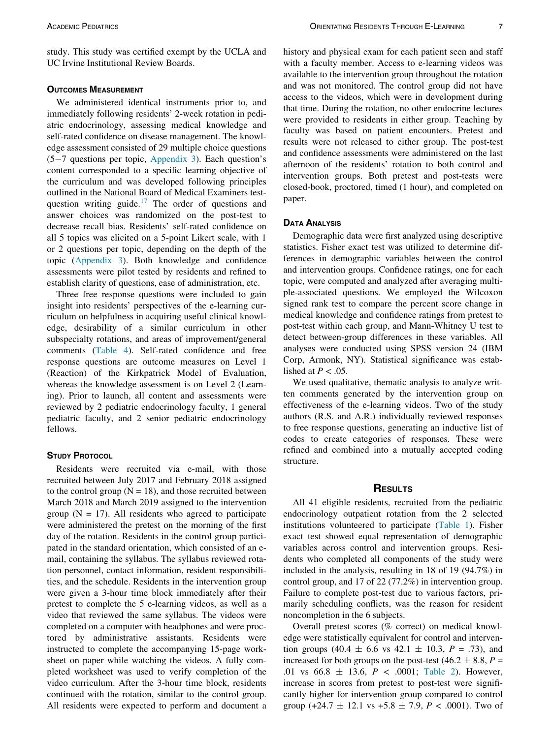study. This study was certified exempt by the UCLA and UC Irvine Institutional Review Boards.

## OUTCOMES MEASUREMENT

We administered identical instruments prior to, and immediately following residents' 2-week rotation in pediatric endocrinology, assessing medical knowledge and self-rated confidence on disease management. The knowledge assessment consisted of 29 multiple choice questions (5−7 questions per topic, [Appendix 3\)](#page-5-11). Each question's content corresponded to a specific learning objective of the curriculum and was developed following principles outlined in the National Board of Medical Examiners test-question writing guide.<sup>[17](#page-5-14)</sup> The order of questions and answer choices was randomized on the post-test to decrease recall bias. Residents' self-rated confidence on all 5 topics was elicited on a 5-point Likert scale, with 1 or 2 questions per topic, depending on the depth of the topic ([Appendix 3](#page-5-11)). Both knowledge and confidence assessments were pilot tested by residents and refined to establish clarity of questions, ease of administration, etc.

Three free response questions were included to gain insight into residents' perspectives of the e-learning curriculum on helpfulness in acquiring useful clinical knowledge, desirability of a similar curriculum in other subspecialty rotations, and areas of improvement/general comments [\(Table 4](#page-4-0)). Self-rated confidence and free response questions are outcome measures on Level 1 (Reaction) of the Kirkpatrick Model of Evaluation, whereas the knowledge assessment is on Level 2 (Learning). Prior to launch, all content and assessments were reviewed by 2 pediatric endocrinology faculty, 1 general pediatric faculty, and 2 senior pediatric endocrinology fellows.

# STUDY PROTOCOL

Residents were recruited via e-mail, with those recruited between July 2017 and February 2018 assigned to the control group ( $N = 18$ ), and those recruited between March 2018 and March 2019 assigned to the intervention group  $(N = 17)$ . All residents who agreed to participate were administered the pretest on the morning of the first day of the rotation. Residents in the control group participated in the standard orientation, which consisted of an email, containing the syllabus. The syllabus reviewed rotation personnel, contact information, resident responsibilities, and the schedule. Residents in the intervention group were given a 3-hour time block immediately after their pretest to complete the 5 e-learning videos, as well as a video that reviewed the same syllabus. The videos were completed on a computer with headphones and were proctored by administrative assistants. Residents were instructed to complete the accompanying 15-page worksheet on paper while watching the videos. A fully completed worksheet was used to verify completion of the video curriculum. After the 3-hour time block, residents continued with the rotation, similar to the control group. All residents were expected to perform and document a history and physical exam for each patient seen and staff with a faculty member. Access to e-learning videos was available to the intervention group throughout the rotation and was not monitored. The control group did not have access to the videos, which were in development during that time. During the rotation, no other endocrine lectures were provided to residents in either group. Teaching by faculty was based on patient encounters. Pretest and results were not released to either group. The post-test and confidence assessments were administered on the last afternoon of the residents' rotation to both control and intervention groups. Both pretest and post-tests were closed-book, proctored, timed (1 hour), and completed on paper.

# DATA ANALYSIS

Demographic data were first analyzed using descriptive statistics. Fisher exact test was utilized to determine differences in demographic variables between the control and intervention groups. Confidence ratings, one for each topic, were computed and analyzed after averaging multiple-associated questions. We employed the Wilcoxon signed rank test to compare the percent score change in medical knowledge and confidence ratings from pretest to post-test within each group, and Mann-Whitney U test to detect between-group differences in these variables. All analyses were conducted using SPSS version 24 (IBM Corp, Armonk, NY). Statistical significance was established at  $P < .05$ .

We used qualitative, thematic analysis to analyze written comments generated by the intervention group on effectiveness of the e-learning videos. Two of the study authors (R.S. and A.R.) individually reviewed responses to free response questions, generating an inductive list of codes to create categories of responses. These were refined and combined into a mutually accepted coding structure.

#### **RESULTS**

All 41 eligible residents, recruited from the pediatric endocrinology outpatient rotation from the 2 selected institutions volunteered to participate ([Table 1](#page-3-1)). Fisher exact test showed equal representation of demographic variables across control and intervention groups. Residents who completed all components of the study were included in the analysis, resulting in 18 of 19 (94.7%) in control group, and 17 of 22 (77.2%) in intervention group. Failure to complete post-test due to various factors, primarily scheduling conflicts, was the reason for resident noncompletion in the 6 subjects.

Overall pretest scores (% correct) on medical knowledge were statistically equivalent for control and intervention groups  $(40.4 \pm 6.6 \text{ vs } 42.1 \pm 10.3, P = .73)$ , and increased for both groups on the post-test (46.2  $\pm$  8.8, P = .01 vs  $66.8 \pm 13.6$ ,  $P < .0001$ ; [Table 2\)](#page-3-0). However, increase in scores from pretest to post-test were significantly higher for intervention group compared to control group (+24.7  $\pm$  12.1 vs +5.8  $\pm$  7.9, P < .0001). Two of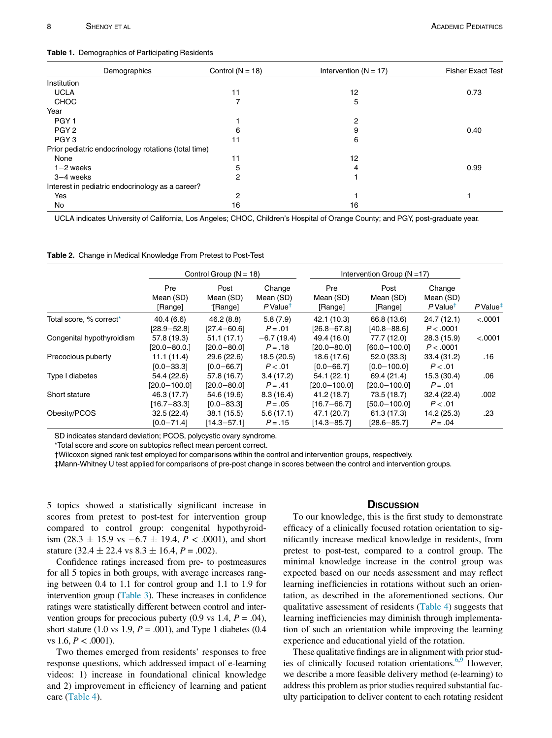<span id="page-3-1"></span>

|  | Table 1. Demographics of Participating Residents |  |  |
|--|--------------------------------------------------|--|--|
|--|--------------------------------------------------|--|--|

| Demographics                                         | Control ( $N = 18$ ) | Intervention ( $N = 17$ ) | <b>Fisher Exact Test</b> |
|------------------------------------------------------|----------------------|---------------------------|--------------------------|
| Institution                                          |                      |                           |                          |
| <b>UCLA</b>                                          | 11                   | 12                        | 0.73                     |
| CHOC                                                 |                      | 5                         |                          |
| Year                                                 |                      |                           |                          |
| PGY <sub>1</sub>                                     |                      | 2                         |                          |
| PGY <sub>2</sub>                                     | 6                    | 9                         | 0.40                     |
| PGY <sub>3</sub>                                     | 11                   | 6                         |                          |
| Prior pediatric endocrinology rotations (total time) |                      |                           |                          |
| None                                                 | 11                   | 12                        |                          |
| $1-2$ weeks                                          | 5                    | 4                         | 0.99                     |
| 3-4 weeks                                            | 2                    |                           |                          |
| Interest in pediatric endocrinology as a career?     |                      |                           |                          |
| Yes                                                  | 2                    |                           |                          |
| No                                                   | 16                   | 16                        |                          |

UCLA indicates University of California, Los Angeles; CHOC, Children's Hospital of Orange County; and PGY, post-graduate year.

<span id="page-3-0"></span>Table 2. Change in Medical Knowledge From Pretest to Post-Test

|                           | Control Group ( $N = 18$ )  |                               |                                               | Intervention Group ( $N = 17$ ) |                              |                                               |                                     |
|---------------------------|-----------------------------|-------------------------------|-----------------------------------------------|---------------------------------|------------------------------|-----------------------------------------------|-------------------------------------|
|                           | Pre<br>Mean (SD)<br>[Range] | Post<br>Mean (SD)<br>'[Range] | Change<br>Mean (SD)<br>$P$ Value <sup>T</sup> | Pre<br>Mean (SD)<br>[Range]     | Post<br>Mean (SD)<br>[Range] | Change<br>Mean (SD)<br>$P$ Value <sup>†</sup> | $P$ Value <sup><math>#</math></sup> |
| Total score, % correct*   | 40.4(6.6)                   | 46.2(8.8)                     | 5.8(7.9)                                      | 42.1 (10.3)                     | 66.8 (13.6)                  | 24.7 (12.1)                                   | < .0001                             |
|                           | $[28.9 - 52.8]$             | $[27.4 - 60.6]$               | $P = .01$                                     | $[26.8 - 67.8]$                 | $[40.8 - 88.6]$              | P < .0001                                     |                                     |
| Congenital hypothyroidism | 57.8 (19.3)                 | 51.1(17.1)                    | $-6.7(19.4)$                                  | 49.4 (16.0)                     | 77.7 (12.0)                  | 28.3 (15.9)                                   | < .0001                             |
|                           | $[20.0 - 80.0]$             | $[20.0 - 80.0]$               | $P = .18$                                     | $[20.0 - 80.0]$                 | $[60.0 - 100.0]$             | P < .0001                                     |                                     |
| Precocious puberty        | 11.1(11.4)                  | 29.6 (22.6)                   | 18.5 (20.5)                                   | 18.6 (17.6)                     | 52.0 (33.3)                  | 33.4 (31.2)                                   | .16                                 |
|                           | $[0.0 - 33.3]$              | $[0.0 - 66.7]$                | P < .01                                       | $[0.0 - 66.7]$                  | $[0.0 - 100.0]$              | P < .01                                       |                                     |
| Type I diabetes           | 54.4 (22.6)                 | 57.8 (16.7)                   | 3.4(17.2)                                     | 54.1(22.1)                      | 69.4 (21.4)                  | 15.3(30.4)                                    | .06                                 |
|                           | $[20.0 - 100.0]$            | $[20.0 - 80.0]$               | $P = .41$                                     | $[20.0 - 100.0]$                | [20.0-100.0]                 | $P = .01$                                     |                                     |
| Short stature             | 46.3 (17.7)                 | 54.6 (19.6)                   | 8.3(16.4)                                     | 41.2 (18.7)                     | 73.5 (18.7)                  | 32.4(22.4)                                    | .002                                |
|                           | $[16.7 - 83.3]$             | $[0.0 - 83.3]$                | $P = .05$                                     | $[16.7 - 66.7]$                 | $[50.0 - 100.0]$             | P < .01                                       |                                     |
| Obesity/PCOS              | 32.5(22.4)                  | 38.1 (15.5)                   | 5.6(17.1)                                     | 47.1 (20.7)                     | 61.3(17.3)                   | 14.2 (25.3)                                   | .23                                 |
|                           | $[0.0 - 71.4]$              | $[14.3 - 57.1]$               | $P = .15$                                     | $[14.3 - 85.7]$                 | $[28.6 - 85.7]$              | $P = .04$                                     |                                     |

<span id="page-3-3"></span>SD indicates standard deviation; PCOS, polycystic ovary syndrome.

\*Total score and score on subtopics reflect mean percent correct.

<span id="page-3-2"></span>†Wilcoxon signed rank test employed for comparisons within the control and intervention groups, respectively.

‡Mann-Whitney U test applied for comparisons of pre-post change in scores between the control and intervention groups.

5 topics showed a statistically significant increase in scores from pretest to post-test for intervention group compared to control group: congenital hypothyroidism (28.3  $\pm$  15.9 vs -6.7  $\pm$  19.4, P < .0001), and short stature (32.4  $\pm$  22.4 vs 8.3  $\pm$  16.4, P = .002).

Confidence ratings increased from pre- to postmeasures for all 5 topics in both groups, with average increases ranging between 0.4 to 1.1 for control group and 1.1 to 1.9 for intervention group ([Table 3](#page-4-1)). These increases in confidence ratings were statistically different between control and intervention groups for precocious puberty (0.9 vs 1.4,  $P = .04$ ), short stature (1.0 vs 1.9,  $P = .001$ ), and Type 1 diabetes (0.4 vs  $1.6, P < .0001$ ).

Two themes emerged from residents' responses to free response questions, which addressed impact of e-learning videos: 1) increase in foundational clinical knowledge and 2) improvement in efficiency of learning and patient care [\(Table 4](#page-4-0)).

#### **DISCUSSION**

To our knowledge, this is the first study to demonstrate efficacy of a clinically focused rotation orientation to significantly increase medical knowledge in residents, from pretest to post-test, compared to a control group. The minimal knowledge increase in the control group was expected based on our needs assessment and may reflect learning inefficiencies in rotations without such an orientation, as described in the aforementioned sections. Our qualitative assessment of residents ([Table 4](#page-4-0)) suggests that learning inefficiencies may diminish through implementation of such an orientation while improving the learning experience and educational yield of the rotation.

These qualitative findings are in alignment with prior stud-ies of clinically focused rotation orientations.<sup>6,[9](#page-5-7)</sup> However, we describe a more feasible delivery method (e-learning) to address this problem as prior studies required substantial faculty participation to deliver content to each rotating resident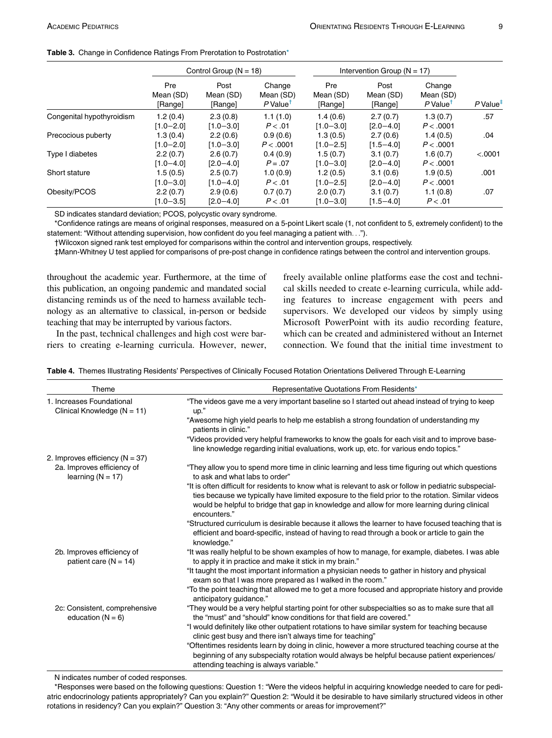|                           | Control Group ( $N = 18$ )  |                              |                                               | Intervention Group ( $N = 17$ ) |                              |                                               |                                            |
|---------------------------|-----------------------------|------------------------------|-----------------------------------------------|---------------------------------|------------------------------|-----------------------------------------------|--------------------------------------------|
|                           | Pre<br>Mean (SD)<br>[Range] | Post<br>Mean (SD)<br>[Range] | Change<br>Mean (SD)<br>$P$ Value <sup>T</sup> | Pre<br>Mean (SD)<br>[Range]     | Post<br>Mean (SD)<br>[Range] | Change<br>Mean (SD)<br>$P$ Value <sup>T</sup> | $P$ Value <sup><math>\ddagger</math></sup> |
| Congenital hypothyroidism | 1.2(0.4)                    | 2.3(0.8)                     | 1.1(1.0)                                      | 1.4(0.6)                        | 2.7(0.7)                     | 1.3(0.7)                                      | .57                                        |
|                           | $[1.0 - 2.0]$               | $[1.0 - 3.0]$                | P < .01                                       | $[1.0 - 3.0]$                   | $[2.0 - 4.0]$                | P < .0001                                     |                                            |
| Precocious puberty        | 1.3(0.4)                    | 2.2(0.6)                     | 0.9(0.6)                                      | 1.3(0.5)                        | 2.7(0.6)                     | 1.4(0.5)                                      | .04                                        |
|                           | [1.0-2.0]                   | $[1.0 - 3.0]$                | P < .0001                                     | $[1.0 - 2.5]$                   | $[1.5 - 4.0]$                | P < .0001                                     |                                            |
| Type I diabetes           | 2.2(0.7)                    | 2.6(0.7)                     | 0.4(0.9)                                      | 1.5(0.7)                        | 3.1(0.7)                     | 1.6(0.7)                                      | < .0001                                    |
|                           | $[1.0 - 4.0]$               | $[2.0 - 4.0]$                | $P = .07$                                     | $[1.0 - 3.0]$                   | $[2.0 - 4.0]$                | P < .0001                                     |                                            |
| Short stature             | 1.5(0.5)                    | 2.5(0.7)                     | 1.0(0.9)                                      | 1.2(0.5)                        | 3.1(0.6)                     | 1.9(0.5)                                      | .001                                       |
|                           | $[1.0 - 3.0]$               | $[1.0 - 4.0]$                | P < .01                                       | $[1.0 - 2.5]$                   | $[2.0 - 4.0]$                | P < .0001                                     |                                            |
| Obesity/PCOS              | 2.2(0.7)                    | 2.9(0.6)                     | 0.7(0.7)                                      | 2.0(0.7)                        | 3.1(0.7)                     | 1.1(0.8)                                      | .07                                        |
|                           | $[1.0 - 3.5]$               | $[2.0 - 4.0]$                | P < .01                                       | $[1.0 - 3.0]$                   | $[1.5 - 4.0]$                | P < .01                                       |                                            |

#### <span id="page-4-1"></span>Table 3. Change in Confidence Ratings From Prerotation to Postrotatio[n\\*](#page-4-2)

SD indicates standard deviation; PCOS, polycystic ovary syndrome.

<span id="page-4-4"></span><span id="page-4-3"></span><span id="page-4-2"></span>\*Confidence ratings are means of original responses, measured on a 5-point Likert scale (1, not confident to 5, extremely confident) to the statement: "Without attending supervision, how confident do you feel managing a patient with...").

†Wilcoxon signed rank test employed for comparisons within the control and intervention groups, respectively.

‡Mann-Whitney U test applied for comparisons of pre-post change in confidence ratings between the control and intervention groups.

throughout the academic year. Furthermore, at the time of this publication, an ongoing pandemic and mandated social distancing reminds us of the need to harness available technology as an alternative to classical, in-person or bedside teaching that may be interrupted by various factors.

In the past, technical challenges and high cost were barriers to creating e-learning curricula. However, newer, freely available online platforms ease the cost and technical skills needed to create e-learning curricula, while adding features to increase engagement with peers and supervisors. We developed our videos by simply using Microsoft PowerPoint with its audio recording feature, which can be created and administered without an Internet connection. We found that the initial time investment to

<span id="page-4-0"></span>

|  |  |  |  | Table 4. Themes Illustrating Residents' Perspectives of Clinically Focused Rotation Orientations Delivered Through E-Learning |  |
|--|--|--|--|-------------------------------------------------------------------------------------------------------------------------------|--|
|--|--|--|--|-------------------------------------------------------------------------------------------------------------------------------|--|

| Theme                                                        | Representative Quotations From Residents*                                                                                                                                                                                                                                                                                     |  |  |  |
|--------------------------------------------------------------|-------------------------------------------------------------------------------------------------------------------------------------------------------------------------------------------------------------------------------------------------------------------------------------------------------------------------------|--|--|--|
| 1. Increases Foundational<br>Clinical Knowledge ( $N = 11$ ) | "The videos gave me a very important baseline so I started out ahead instead of trying to keep<br>up."                                                                                                                                                                                                                        |  |  |  |
|                                                              | "Awesome high yield pearls to help me establish a strong foundation of understanding my<br>patients in clinic."                                                                                                                                                                                                               |  |  |  |
|                                                              | "Videos provided very helpful frameworks to know the goals for each visit and to improve base-<br>line knowledge regarding initial evaluations, work up, etc. for various endo topics."                                                                                                                                       |  |  |  |
| 2. Improves efficiency ( $N = 37$ )                          |                                                                                                                                                                                                                                                                                                                               |  |  |  |
| 2a. Improves efficiency of<br>learning $(N = 17)$            | "They allow you to spend more time in clinic learning and less time figuring out which questions<br>to ask and what labs to order"                                                                                                                                                                                            |  |  |  |
|                                                              | "It is often difficult for residents to know what is relevant to ask or follow in pediatric subspecial-<br>ties because we typically have limited exposure to the field prior to the rotation. Similar videos<br>would be helpful to bridge that gap in knowledge and allow for more learning during clinical<br>encounters." |  |  |  |
|                                                              | "Structured curriculum is desirable because it allows the learner to have focused teaching that is<br>efficient and board-specific, instead of having to read through a book or article to gain the<br>knowledge."                                                                                                            |  |  |  |
| 2b. Improves efficiency of<br>patient care $(N = 14)$        | "It was really helpful to be shown examples of how to manage, for example, diabetes. I was able<br>to apply it in practice and make it stick in my brain."                                                                                                                                                                    |  |  |  |
|                                                              | "It taught the most important information a physician needs to gather in history and physical<br>exam so that I was more prepared as I walked in the room."                                                                                                                                                                   |  |  |  |
|                                                              | "To the point teaching that allowed me to get a more focused and appropriate history and provide<br>anticipatory quidance."                                                                                                                                                                                                   |  |  |  |
| 2c: Consistent, comprehensive<br>education $(N = 6)$         | "They would be a very helpful starting point for other subspecialties so as to make sure that all<br>the "must" and "should" know conditions for that field are covered."                                                                                                                                                     |  |  |  |
|                                                              | "I would definitely like other outpatient rotations to have similar system for teaching because<br>clinic gest busy and there isn't always time for teaching"                                                                                                                                                                 |  |  |  |
|                                                              | "Oftentimes residents learn by doing in clinic, however a more structured teaching course at the<br>beginning of any subspecialty rotation would always be helpful because patient experiences/<br>attending teaching is always variable."                                                                                    |  |  |  |

N indicates number of coded responses.

<span id="page-4-5"></span>\*Responses were based on the following questions: Question 1: "Were the videos helpful in acquiring knowledge needed to care for pediatric endocrinology patients appropriately? Can you explain?" Question 2: "Would it be desirable to have similarly structured videos in other rotations in residency? Can you explain?" Question 3: "Any other comments or areas for improvement?"